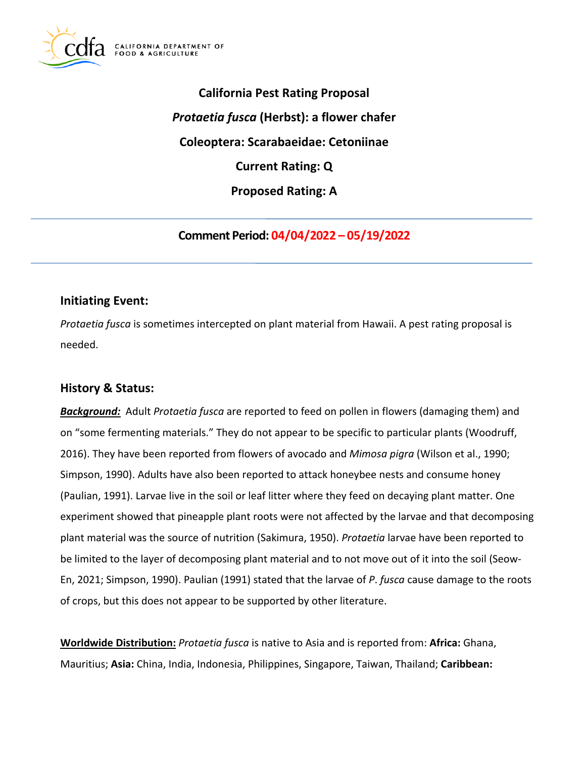

**California Pest Rating Proposal**  *Protaetia fusca* **(Herbst): a flower chafer Coleoptera: Scarabaeidae: Cetoniinae Current Rating: Q Proposed Rating: A** 

**Comment Period: 04/04/2022 – 05/19/2022** 

# **Initiating Event:**

*Protaetia fusca* is sometimes intercepted on plant material from Hawaii. A pest rating proposal is needed.

# **History & Status:**

*Background:* Adult *Protaetia fusca* are reported to feed on pollen in flowers (damaging them) and on "some fermenting materials." They do not appear to be specific to particular plants (Woodruff, 2016). They have been reported from flowers of avocado and *Mimosa pigra* (Wilson et al., 1990; Simpson, 1990). Adults have also been reported to attack honeybee nests and consume honey (Paulian, 1991). Larvae live in the soil or leaf litter where they feed on decaying plant matter. One experiment showed that pineapple plant roots were not affected by the larvae and that decomposing plant material was the source of nutrition (Sakimura, 1950). *Protaetia* larvae have been reported to be limited to the layer of decomposing plant material and to not move out of it into the soil (Seow-En, 2021; Simpson, 1990). Paulian (1991) stated that the larvae of *P*. *fusca* cause damage to the roots of crops, but this does not appear to be supported by other literature.

**Worldwide Distribution:** *Protaetia fusca* is native to Asia and is reported from: **Africa:** Ghana, Mauritius; **Asia:** China, India, Indonesia, Philippines, Singapore, Taiwan, Thailand; **Caribbean:**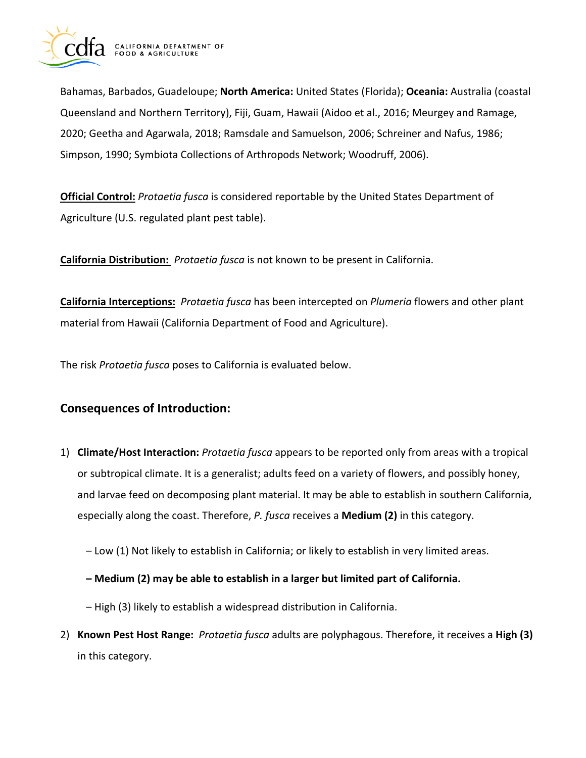

Bahamas, Barbados, Guadeloupe; **North America:** United States (Florida); **Oceania:** Australia (coastal Queensland and Northern Territory), Fiji, Guam, Hawaii (Aidoo et al., 2016; Meurgey and Ramage, 2020; Geetha and Agarwala, 2018; Ramsdale and Samuelson, 2006; Schreiner and Nafus, 1986; Simpson, 1990; Symbiota Collections of Arthropods Network; Woodruff, 2006).

**Official Control:** *Protaetia fusca* is considered reportable by the United States Department of Agriculture (U.S. regulated plant pest table).

**California Distribution:** *Protaetia fusca* is not known to be present in California.

**California Interceptions:** *Protaetia fusca* has been intercepted on *Plumeria* flowers and other plant material from Hawaii (California Department of Food and Agriculture).

The risk *Protaetia fusca* poses to California is evaluated below.

# **Consequences of Introduction:**

- 1) **Climate/Host Interaction:** *Protaetia fusca* appears to be reported only from areas with a tropical or subtropical climate. It is a generalist; adults feed on a variety of flowers, and possibly honey, and larvae feed on decomposing plant material. It may be able to establish in southern California, especially along the coast. Therefore, *P. fusca* receives a **Medium (2)** in this category.
	- Low (1) Not likely to establish in California; or likely to establish in very limited areas.
	- **Medium (2) may be able to establish in a larger but limited part of California.**
	- High (3) likely to establish a widespread distribution in California.
- 2) **Known Pest Host Range:** *Protaetia fusca* adults are polyphagous. Therefore, it receives a **High (3)**  in this category.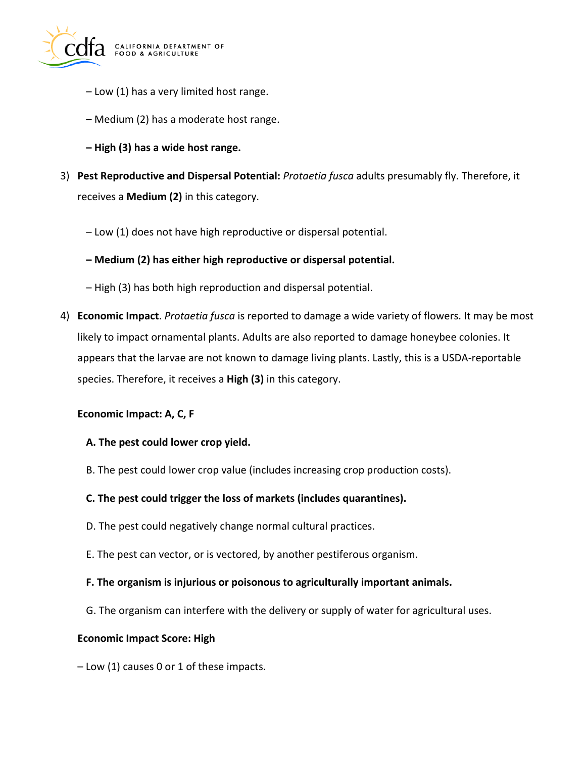

- Low (1) has a very limited host range.
- Medium (2) has a moderate host range.
- **High (3) has a wide host range.**
- 3) **Pest Reproductive and Dispersal Potential:** *Protaetia fusca* adults presumably fly. Therefore, it receives a **Medium (2)** in this category.
	- Low (1) does not have high reproductive or dispersal potential.
	- **Medium (2) has either high reproductive or dispersal potential.**
	- High (3) has both high reproduction and dispersal potential.
- 4) **Economic Impact**. *Protaetia fusca* is reported to damage a wide variety of flowers. It may be most likely to impact ornamental plants. Adults are also reported to damage honeybee colonies. It appears that the larvae are not known to damage living plants. Lastly, this is a USDA-reportable species. Therefore, it receives a **High (3)** in this category.

#### **Economic Impact: A, C, F**

#### **A. The pest could lower crop yield.**

B. The pest could lower crop value (includes increasing crop production costs).

#### **C. The pest could trigger the loss of markets (includes quarantines).**

- D. The pest could negatively change normal cultural practices.
- E. The pest can vector, or is vectored, by another pestiferous organism.

#### **F. The organism is injurious or poisonous to agriculturally important animals.**

G. The organism can interfere with the delivery or supply of water for agricultural uses.

#### **Economic Impact Score: High**

– Low (1) causes 0 or 1 of these impacts.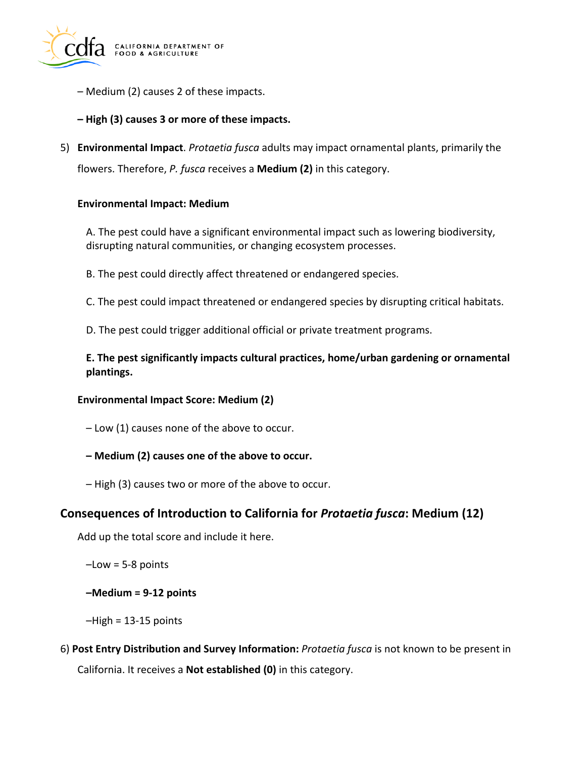

- Medium (2) causes 2 of these impacts.
- **High (3) causes 3 or more of these impacts.**
- 5) **Environmental Impact**. *Protaetia fusca* adults may impact ornamental plants, primarily the flowers. Therefore, *P. fusca* receives a **Medium (2)** in this category.

#### **Environmental Impact: Medium**

A. The pest could have a significant environmental impact such as lowering biodiversity, disrupting natural communities, or changing ecosystem processes.

- B. The pest could directly affect threatened or endangered species.
- C. The pest could impact threatened or endangered species by disrupting critical habitats.
- D. The pest could trigger additional official or private treatment programs.

**E. The pest significantly impacts cultural practices, home/urban gardening or ornamental plantings.** 

#### **Environmental Impact Score: Medium (2)**

- Low (1) causes none of the above to occur.
- **Medium (2) causes one of the above to occur.**
- High (3) causes two or more of the above to occur.

### **Consequences of Introduction to California for** *Protaetia fusca***: Medium (12)**

Add up the total score and include it here.

 $-Low = 5-8$  points

**–Medium = 9-12 points** 

 $-High = 13-15$  points

6) **Post Entry Distribution and Survey Information:** *Protaetia fusca* is not known to be present in California. It receives a **Not established (0)** in this category.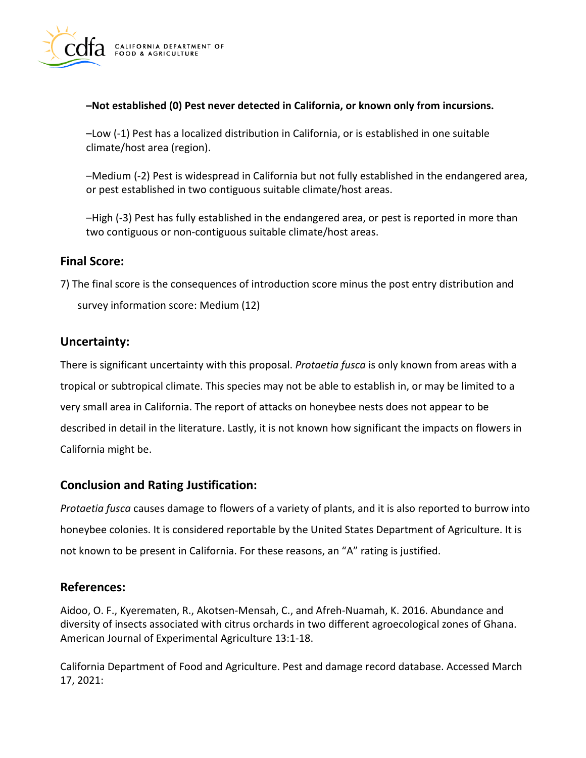

#### **–Not established (0) Pest never detected in California, or known only from incursions.**

–Low (-1) Pest has a localized distribution in California, or is established in one suitable climate/host area (region).

–Medium (-2) Pest is widespread in California but not fully established in the endangered area, or pest established in two contiguous suitable climate/host areas.

–High (-3) Pest has fully established in the endangered area, or pest is reported in more than two contiguous or non-contiguous suitable climate/host areas.

### **Final Score:**

7) The final score is the consequences of introduction score minus the post entry distribution and survey information score: Medium (12)

## **Uncertainty:**

There is significant uncertainty with this proposal. *Protaetia fusca* is only known from areas with a tropical or subtropical climate. This species may not be able to establish in, or may be limited to a very small area in California. The report of attacks on honeybee nests does not appear to be described in detail in the literature. Lastly, it is not known how significant the impacts on flowers in California might be.

## **Conclusion and Rating Justification:**

*Protaetia fusca* causes damage to flowers of a variety of plants, and it is also reported to burrow into honeybee colonies. It is considered reportable by the United States Department of Agriculture. It is not known to be present in California. For these reasons, an "A" rating is justified.

### **References:**

Aidoo, O. F., Kyerematen, R., Akotsen-Mensah, C., and Afreh-Nuamah, K. 2016. Abundance and diversity of insects associated with citrus orchards in two different agroecological zones of Ghana. American Journal of Experimental Agriculture 13:1-18.

California Department of Food and Agriculture. Pest and damage record database. Accessed March 17, 2021: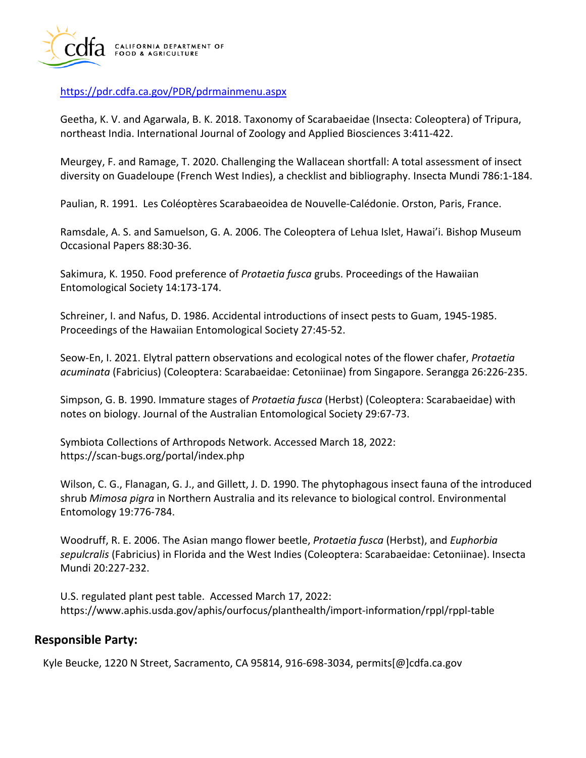

<https://pdr.cdfa.ca.gov/PDR/pdrmainmenu.aspx>

Geetha, K. V. and Agarwala, B. K. 2018. Taxonomy of Scarabaeidae (Insecta: Coleoptera) of Tripura, northeast India. International Journal of Zoology and Applied Biosciences 3:411-422.

Meurgey, F. and Ramage, T. 2020. Challenging the Wallacean shortfall: A total assessment of insect diversity on Guadeloupe (French West Indies), a checklist and bibliography. Insecta Mundi 786:1-184.

Paulian, R. 1991. Les Coléoptères Scarabaeoidea de Nouvelle-Calédonie. Orston, Paris, France.

Ramsdale, A. S. and Samuelson, G. A. 2006. The Coleoptera of Lehua Islet, Hawai'i. Bishop Museum Occasional Papers 88:30-36.

Sakimura, K. 1950. Food preference of *Protaetia fusca* grubs. Proceedings of the Hawaiian Entomological Society 14:173-174.

Schreiner, I. and Nafus, D. 1986. Accidental introductions of insect pests to Guam, 1945-1985. Proceedings of the Hawaiian Entomological Society 27:45-52.

Seow-En, I. 2021. Elytral pattern observations and ecological notes of the flower chafer, *Protaetia acuminata* (Fabricius) (Coleoptera: Scarabaeidae: Cetoniinae) from Singapore. Serangga 26:226-235.

Simpson, G. B. 1990. Immature stages of *Protaetia fusca* (Herbst) (Coleoptera: Scarabaeidae) with notes on biology. Journal of the Australian Entomological Society 29:67-73.

Symbiota Collections of Arthropods Network. Accessed March 18, 2022: <https://scan-bugs.org/portal/index.php>

Wilson, C. G., Flanagan, G. J., and Gillett, J. D. 1990. The phytophagous insect fauna of the introduced shrub *Mimosa pigra* in Northern Australia and its relevance to biological control. Environmental Entomology 19:776-784.

Woodruff, R. E. 2006. The Asian mango flower beetle, *Protaetia fusca* (Herbst), and *Euphorbia sepulcralis* (Fabricius) in Florida and the West Indies (Coleoptera: Scarabaeidae: Cetoniinae). Insecta Mundi 20:227-232.

U.S. regulated plant pest table. Accessed March 17, 2022: <https://www.aphis.usda.gov/aphis/ourfocus/planthealth/import-information/rppl/rppl-table>

## **Responsible Party:**

Kyle Beucke, 1220 N Street, Sacramento, CA 95814, 916-698-3034, [permits\[@\]cdfa.ca.gov](https://permits[@]cdfa.ca.gov)